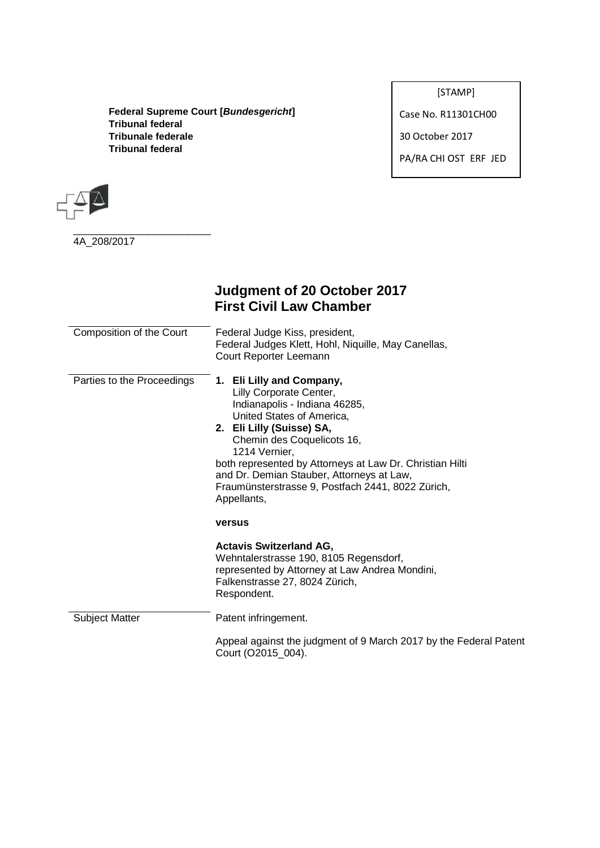**Federal Supreme Court [***Bundesgericht***] Tribunal federal Tribunale federale Tribunal federal**

[STAMP]

Case No. R11301CH00

30 October 2017

PA/RA CHI OST ERF JED



4A\_208/2017

\_\_\_\_\_\_\_\_\_\_\_\_\_\_\_\_\_\_\_\_\_\_\_\_

# **Judgment of 20 October 2017 First Civil Law Chamber**

| Composition of the Court   | Federal Judge Kiss, president,<br>Federal Judges Klett, Hohl, Niquille, May Canellas,<br>Court Reporter Leemann                                                                                                                                                                                                                                                             |
|----------------------------|-----------------------------------------------------------------------------------------------------------------------------------------------------------------------------------------------------------------------------------------------------------------------------------------------------------------------------------------------------------------------------|
| Parties to the Proceedings | 1. Eli Lilly and Company,<br>Lilly Corporate Center,<br>Indianapolis - Indiana 46285,<br>United States of America,<br>2. Eli Lilly (Suisse) SA,<br>Chemin des Coquelicots 16,<br>1214 Vernier,<br>both represented by Attorneys at Law Dr. Christian Hilti<br>and Dr. Demian Stauber, Attorneys at Law,<br>Fraumünsterstrasse 9, Postfach 2441, 8022 Zürich,<br>Appellants, |
|                            | versus                                                                                                                                                                                                                                                                                                                                                                      |
|                            | <b>Actavis Switzerland AG,</b><br>Wehntalerstrasse 190, 8105 Regensdorf,<br>represented by Attorney at Law Andrea Mondini,<br>Falkenstrasse 27, 8024 Zürich,<br>Respondent.                                                                                                                                                                                                 |
| <b>Subject Matter</b>      | Patent infringement.                                                                                                                                                                                                                                                                                                                                                        |
|                            | Appeal against the judgment of 9 March 2017 by the Federal Patent<br>Court (O2015_004).                                                                                                                                                                                                                                                                                     |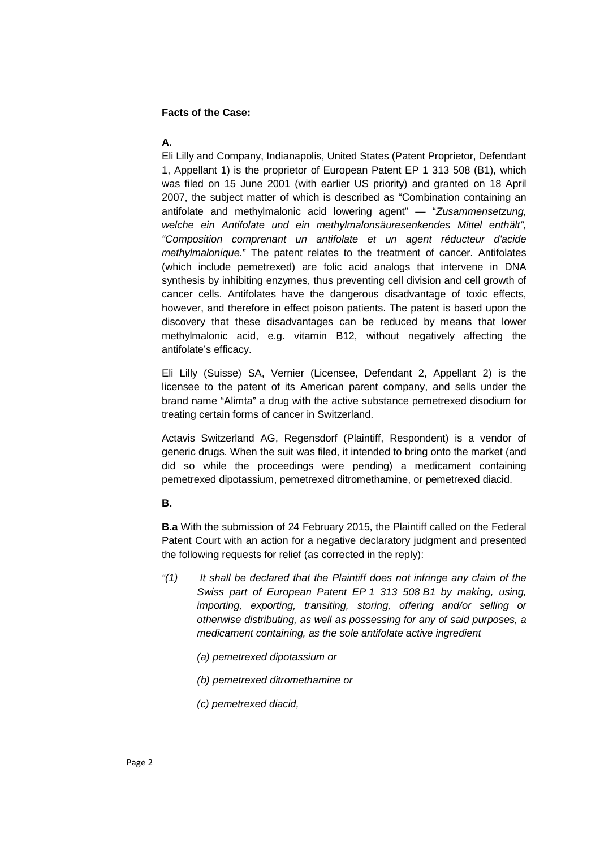#### **Facts of the Case:**

### **A.**

Eli Lilly and Company, Indianapolis, United States (Patent Proprietor, Defendant 1, Appellant 1) is the proprietor of European Patent EP 1 313 508 (B1), which was filed on 15 June 2001 (with earlier US priority) and granted on 18 April 2007, the subject matter of which is described as "Combination containing an antifolate and methylmalonic acid lowering agent" — "*Zusammensetzung, welche ein Antifolate und ein methylmalonsäuresenkendes Mittel enthält", "Composition comprenant un antifolate et un agent réducteur d'acide methylmalonique.*" The patent relates to the treatment of cancer. Antifolates (which include pemetrexed) are folic acid analogs that intervene in DNA synthesis by inhibiting enzymes, thus preventing cell division and cell growth of cancer cells. Antifolates have the dangerous disadvantage of toxic effects, however, and therefore in effect poison patients. The patent is based upon the discovery that these disadvantages can be reduced by means that lower methylmalonic acid, e.g. vitamin B12, without negatively affecting the antifolate's efficacy.

Eli Lilly (Suisse) SA, Vernier (Licensee, Defendant 2, Appellant 2) is the licensee to the patent of its American parent company, and sells under the brand name "Alimta" a drug with the active substance pemetrexed disodium for treating certain forms of cancer in Switzerland.

Actavis Switzerland AG, Regensdorf (Plaintiff, Respondent) is a vendor of generic drugs. When the suit was filed, it intended to bring onto the market (and did so while the proceedings were pending) a medicament containing pemetrexed dipotassium, pemetrexed ditromethamine, or pemetrexed diacid.

#### **B.**

**B.a** With the submission of 24 February 2015, the Plaintiff called on the Federal Patent Court with an action for a negative declaratory judgment and presented the following requests for relief (as corrected in the reply):

- *"(1) It shall be declared that the Plaintiff does not infringe any claim of the Swiss part of European Patent EP 1 313 508 B1 by making, using, importing, exporting, transiting, storing, offering and/or selling or otherwise distributing, as well as possessing for any of said purposes, a medicament containing, as the sole antifolate active ingredient*
	- *(a) pemetrexed dipotassium or*
	- *(b) pemetrexed ditromethamine or*
	- *(c) pemetrexed diacid,*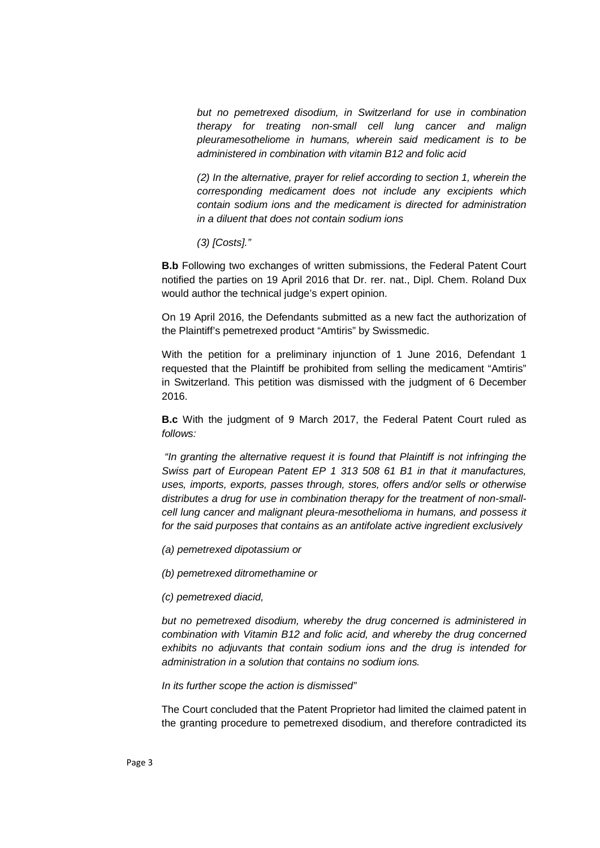*but no pemetrexed disodium, in Switzerland for use in combination therapy for treating non-small cell lung cancer and malign pleuramesotheliome in humans, wherein said medicament is to be administered in combination with vitamin B12 and folic acid*

*(2) In the alternative, prayer for relief according to section 1, wherein the corresponding medicament does not include any excipients which contain sodium ions and the medicament is directed for administration in a diluent that does not contain sodium ions*

*(3) [Costs]."*

**B.b** Following two exchanges of written submissions, the Federal Patent Court notified the parties on 19 April 2016 that Dr. rer. nat., Dipl. Chem. Roland Dux would author the technical judge's expert opinion.

On 19 April 2016, the Defendants submitted as a new fact the authorization of the Plaintiff's pemetrexed product "Amtiris" by Swissmedic.

With the petition for a preliminary injunction of 1 June 2016, Defendant 1 requested that the Plaintiff be prohibited from selling the medicament "Amtiris" in Switzerland. This petition was dismissed with the judgment of 6 December 2016.

**B.c** With the judgment of 9 March 2017, the Federal Patent Court ruled as *follows:*

*"In granting the alternative request it is found that Plaintiff is not infringing the Swiss part of European Patent EP 1 313 508 61 B1 in that it manufactures, uses, imports, exports, passes through, stores, offers and/or sells or otherwise distributes a drug for use in combination therapy for the treatment of non-smallcell lung cancer and malignant pleura-mesothelioma in humans, and possess it for the said purposes that contains as an antifolate active ingredient exclusively*

*(a) pemetrexed dipotassium or*

*(b) pemetrexed ditromethamine or*

*(c) pemetrexed diacid,*

*but no pemetrexed disodium, whereby the drug concerned is administered in combination with Vitamin B12 and folic acid, and whereby the drug concerned exhibits no adjuvants that contain sodium ions and the drug is intended for administration in a solution that contains no sodium ions.*

*In its further scope the action is dismissed"*

The Court concluded that the Patent Proprietor had limited the claimed patent in the granting procedure to pemetrexed disodium, and therefore contradicted its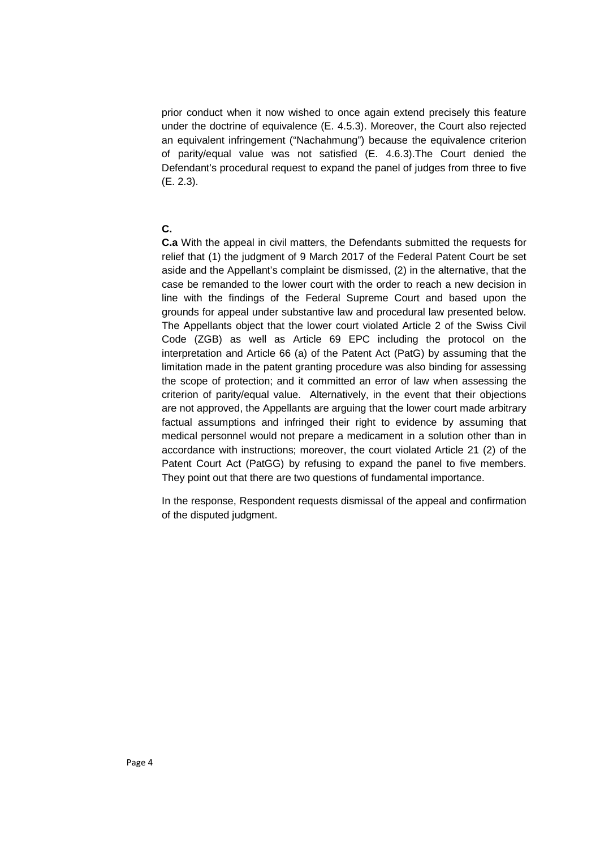prior conduct when it now wished to once again extend precisely this feature under the doctrine of equivalence (E. 4.5.3). Moreover, the Court also rejected an equivalent infringement ("Nachahmung") because the equivalence criterion of parity/equal value was not satisfied (E. 4.6.3).The Court denied the Defendant's procedural request to expand the panel of judges from three to five (E. 2.3).

#### **C.**

**C.a** With the appeal in civil matters, the Defendants submitted the requests for relief that (1) the judgment of 9 March 2017 of the Federal Patent Court be set aside and the Appellant's complaint be dismissed, (2) in the alternative, that the case be remanded to the lower court with the order to reach a new decision in line with the findings of the Federal Supreme Court and based upon the grounds for appeal under substantive law and procedural law presented below. The Appellants object that the lower court violated Article 2 of the Swiss Civil Code (ZGB) as well as Article 69 EPC including the protocol on the interpretation and Article 66 (a) of the Patent Act (PatG) by assuming that the limitation made in the patent granting procedure was also binding for assessing the scope of protection; and it committed an error of law when assessing the criterion of parity/equal value. Alternatively, in the event that their objections are not approved, the Appellants are arguing that the lower court made arbitrary factual assumptions and infringed their right to evidence by assuming that medical personnel would not prepare a medicament in a solution other than in accordance with instructions; moreover, the court violated Article 21 (2) of the Patent Court Act (PatGG) by refusing to expand the panel to five members. They point out that there are two questions of fundamental importance.

In the response, Respondent requests dismissal of the appeal and confirmation of the disputed judgment.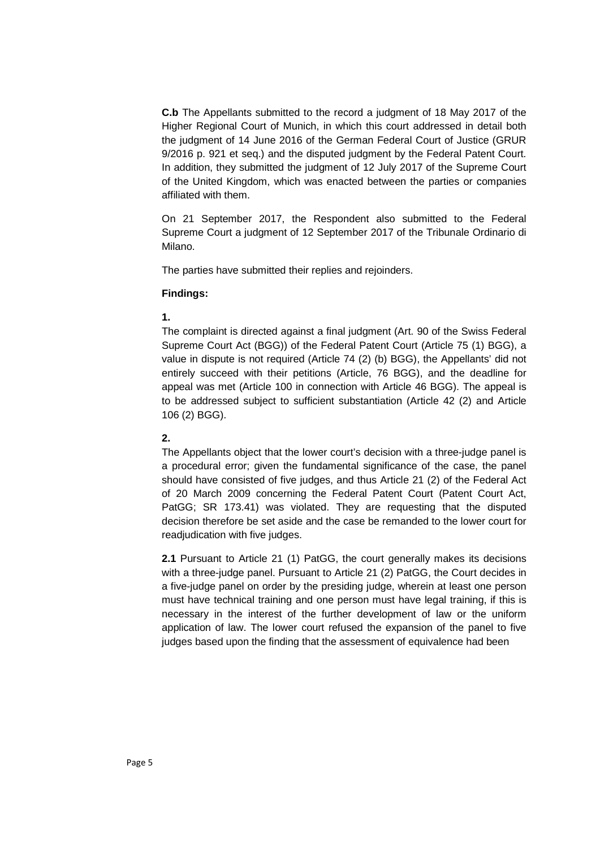**C.b** The Appellants submitted to the record a judgment of 18 May 2017 of the Higher Regional Court of Munich, in which this court addressed in detail both the judgment of 14 June 2016 of the German Federal Court of Justice (GRUR 9/2016 p. 921 et seq.) and the disputed judgment by the Federal Patent Court. In addition, they submitted the judgment of 12 July 2017 of the Supreme Court of the United Kingdom, which was enacted between the parties or companies affiliated with them.

On 21 September 2017, the Respondent also submitted to the Federal Supreme Court a judgment of 12 September 2017 of the Tribunale Ordinario di Milano.

The parties have submitted their replies and rejoinders.

#### **Findings:**

#### **1.**

The complaint is directed against a final judgment (Art. 90 of the Swiss Federal Supreme Court Act (BGG)) of the Federal Patent Court (Article 75 (1) BGG), a value in dispute is not required (Article 74 (2) (b) BGG), the Appellants' did not entirely succeed with their petitions (Article, 76 BGG), and the deadline for appeal was met (Article 100 in connection with Article 46 BGG). The appeal is to be addressed subject to sufficient substantiation (Article 42 (2) and Article 106 (2) BGG).

### **2.**

The Appellants object that the lower court's decision with a three-judge panel is a procedural error; given the fundamental significance of the case, the panel should have consisted of five judges, and thus Article 21 (2) of the Federal Act of 20 March 2009 concerning the Federal Patent Court (Patent Court Act, PatGG; SR 173.41) was violated. They are requesting that the disputed decision therefore be set aside and the case be remanded to the lower court for readiudication with five judges.

**2.1** Pursuant to Article 21 (1) PatGG, the court generally makes its decisions with a three-judge panel. Pursuant to Article 21 (2) PatGG, the Court decides in a five-judge panel on order by the presiding judge, wherein at least one person must have technical training and one person must have legal training, if this is necessary in the interest of the further development of law or the uniform application of law. The lower court refused the expansion of the panel to five judges based upon the finding that the assessment of equivalence had been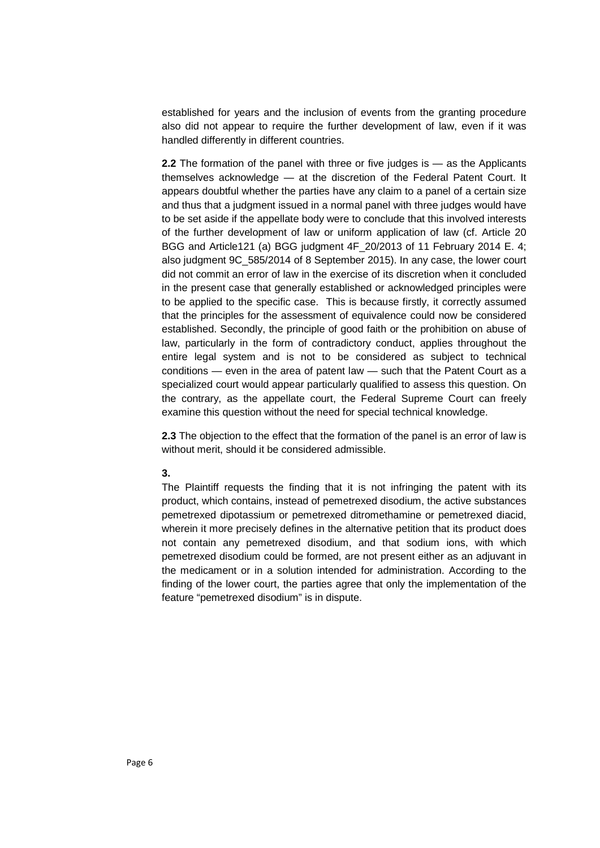established for years and the inclusion of events from the granting procedure also did not appear to require the further development of law, even if it was handled differently in different countries.

**2.2** The formation of the panel with three or five judges is — as the Applicants themselves acknowledge — at the discretion of the Federal Patent Court. It appears doubtful whether the parties have any claim to a panel of a certain size and thus that a judgment issued in a normal panel with three judges would have to be set aside if the appellate body were to conclude that this involved interests of the further development of law or uniform application of law (cf. Article 20 BGG and Article121 (a) BGG judgment 4F\_20/2013 of 11 February 2014 E. 4; also judgment 9C\_585/2014 of 8 September 2015). In any case, the lower court did not commit an error of law in the exercise of its discretion when it concluded in the present case that generally established or acknowledged principles were to be applied to the specific case. This is because firstly, it correctly assumed that the principles for the assessment of equivalence could now be considered established. Secondly, the principle of good faith or the prohibition on abuse of law, particularly in the form of contradictory conduct, applies throughout the entire legal system and is not to be considered as subject to technical conditions — even in the area of patent law — such that the Patent Court as a specialized court would appear particularly qualified to assess this question. On the contrary, as the appellate court, the Federal Supreme Court can freely examine this question without the need for special technical knowledge.

**2.3** The objection to the effect that the formation of the panel is an error of law is without merit, should it be considered admissible.

#### **3.**

The Plaintiff requests the finding that it is not infringing the patent with its product, which contains, instead of pemetrexed disodium, the active substances pemetrexed dipotassium or pemetrexed ditromethamine or pemetrexed diacid, wherein it more precisely defines in the alternative petition that its product does not contain any pemetrexed disodium, and that sodium ions, with which pemetrexed disodium could be formed, are not present either as an adjuvant in the medicament or in a solution intended for administration. According to the finding of the lower court, the parties agree that only the implementation of the feature "pemetrexed disodium" is in dispute.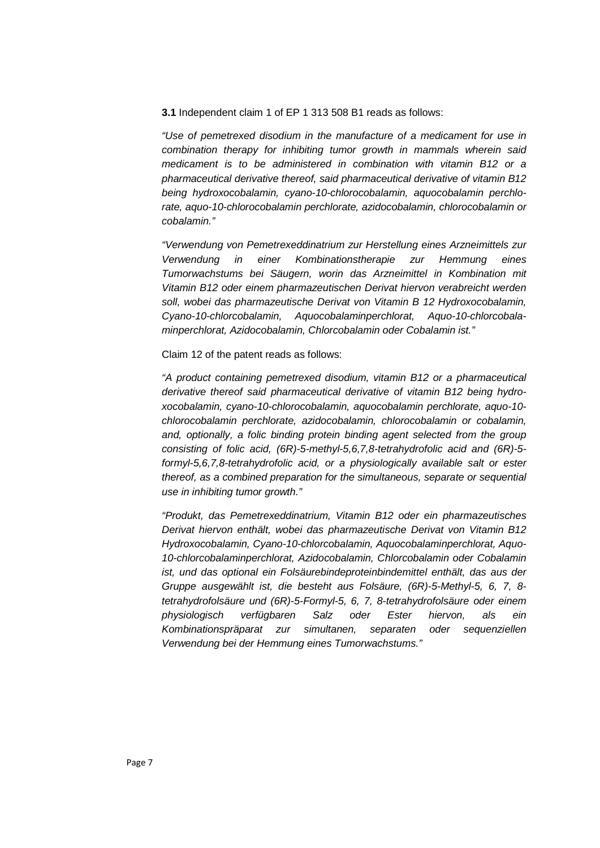**3.1** Independent claim 1 of EP 1 313 508 B1 reads as follows:

*"Use of pemetrexed disodium in the manufacture of a medicament for use in combination therapy for inhibiting tumor growth in mammals wherein said medicament is to be administered in combination with vitamin B12 or a pharmaceutical derivative thereof, said pharmaceutical derivative of vitamin B12 being hydroxocobalamin, cyano-10-chlorocobalamin, aquocobalamin perchlorate, aquo-10-chlorocobalamin perchlorate, azidocobalamin, chlorocobalamin or cobalamin."*

*"Verwendung von Pemetrexeddinatrium zur Herstellung eines Arzneimittels zur Verwendung in einer Kombinationstherapie zur Hemmung eines Tumorwachstums bei Säugern, worin das Arzneimittel in Kombination mit Vitamin B12 oder einem pharmazeutischen Derivat hiervon verabreicht werden soll, wobei das pharmazeutische Derivat von Vitamin B 12 Hydroxocobalamin, Cyano-10-chlorcobalamin, Aquocobalaminperchlorat, Aquo-10-chlorcobalaminperchlorat, Azidocobalamin, Chlorcobalamin oder Cobalamin ist."*

Claim 12 of the patent reads as follows:

*"A product containing pemetrexed disodium, vitamin B12 or a pharmaceutical derivative thereof said pharmaceutical derivative of vitamin B12 being hydroxocobalamin, cyano-10-chlorocobalamin, aquocobalamin perchlorate, aquo-10 chlorocobalamin perchlorate, azidocobalamin, chlorocobalamin or cobalamin, and, optionally, a folic binding protein binding agent selected from the group consisting of folic acid, (6R)-5-methyl-5,6,7,8-tetrahydrofolic acid and (6R)-5 formyl-5,6,7,8-tetrahydrofolic acid, or a physiologically available salt or ester thereof, as a combined preparation for the simultaneous, separate or sequential use in inhibiting tumor growth."*

*"Produkt, das Pemetrexeddinatrium, Vitamin B12 oder ein pharmazeutisches Derivat hiervon enthält, wobei das pharmazeutische Derivat von Vitamin B12 Hydroxocobalamin, Cyano-10-chlorcobalamin, Aquocobalaminperchlorat, Aquo-10-chlorcobalaminperchlorat, Azidocobalamin, Chlorcobalamin oder Cobalamin ist, und das optional ein Folsäurebindeproteinbindemittel enthält, das aus der Gruppe ausgewählt ist, die besteht aus Folsäure, (6R)-5-Methyl-5, 6, 7, 8 tetrahydrofolsäure und (6R)-5-Formyl-5, 6, 7, 8-tetrahydrofolsäure oder einem physiologisch verfügbaren Salz oder Ester hiervon, als ein Kombinationspräparat zur simultanen, separaten oder sequenziellen Verwendung bei der Hemmung eines Tumorwachstums."*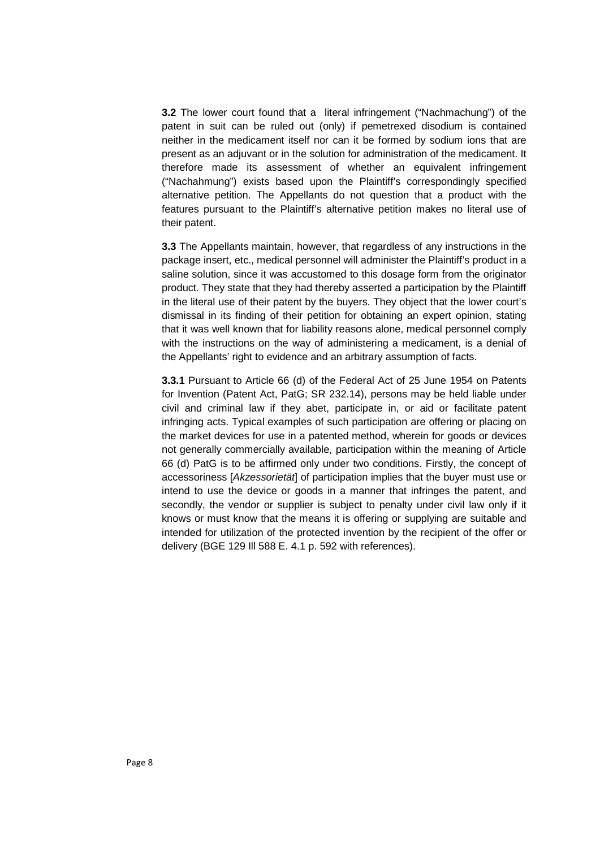**3.2** The lower court found that a literal infringement ("Nachmachung") of the patent in suit can be ruled out (only) if pemetrexed disodium is contained neither in the medicament itself nor can it be formed by sodium ions that are present as an adjuvant or in the solution for administration of the medicament. It therefore made its assessment of whether an equivalent infringement ("Nachahmung") exists based upon the Plaintiff's correspondingly specified alternative petition. The Appellants do not question that a product with the features pursuant to the Plaintiff's alternative petition makes no literal use of their patent.

**3.3** The Appellants maintain, however, that regardless of any instructions in the package insert, etc., medical personnel will administer the Plaintiff's product in a saline solution, since it was accustomed to this dosage form from the originator product. They state that they had thereby asserted a participation by the Plaintiff in the literal use of their patent by the buyers. They object that the lower court's dismissal in its finding of their petition for obtaining an expert opinion, stating that it was well known that for liability reasons alone, medical personnel comply with the instructions on the way of administering a medicament, is a denial of the Appellants' right to evidence and an arbitrary assumption of facts.

**3.3.1** Pursuant to Article 66 (d) of the Federal Act of 25 June 1954 on Patents for Invention (Patent Act, PatG; SR 232.14), persons may be held liable under civil and criminal law if they abet, participate in, or aid or facilitate patent infringing acts. Typical examples of such participation are offering or placing on the market devices for use in a patented method, wherein for goods or devices not generally commercially available, participation within the meaning of Article 66 (d) PatG is to be affirmed only under two conditions. Firstly, the concept of accessoriness [*Akzessorietät*] of participation implies that the buyer must use or intend to use the device or goods in a manner that infringes the patent, and secondly, the vendor or supplier is subject to penalty under civil law only if it knows or must know that the means it is offering or supplying are suitable and intended for utilization of the protected invention by the recipient of the offer or delivery (BGE 129 Ill 588 E. 4.1 p. 592 with references).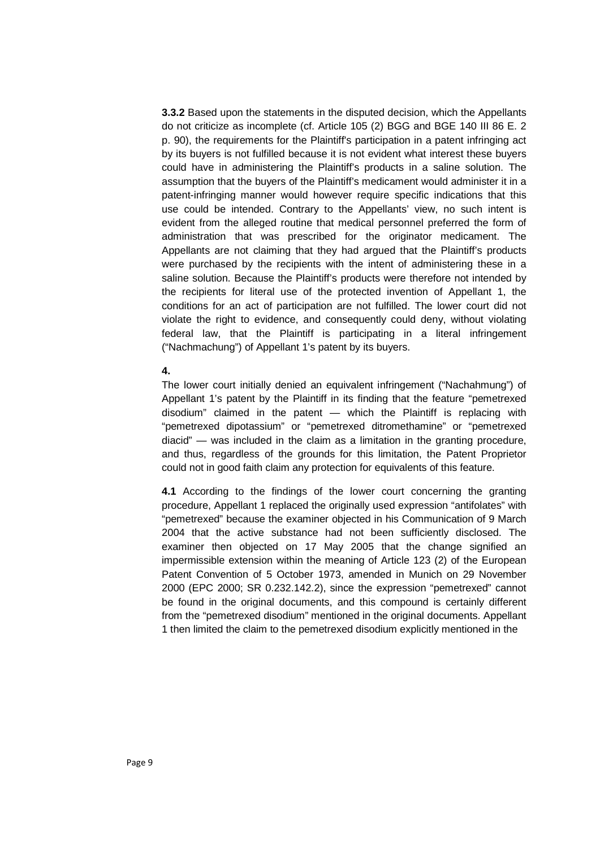**3.3.2** Based upon the statements in the disputed decision, which the Appellants do not criticize as incomplete (cf. Article 105 (2) BGG and BGE 140 III 86 E. 2 p. 90), the requirements for the Plaintiff's participation in a patent infringing act by its buyers is not fulfilled because it is not evident what interest these buyers could have in administering the Plaintiff's products in a saline solution. The assumption that the buyers of the Plaintiff's medicament would administer it in a patent-infringing manner would however require specific indications that this use could be intended. Contrary to the Appellants' view, no such intent is evident from the alleged routine that medical personnel preferred the form of administration that was prescribed for the originator medicament. The Appellants are not claiming that they had argued that the Plaintiff's products were purchased by the recipients with the intent of administering these in a saline solution. Because the Plaintiff's products were therefore not intended by the recipients for literal use of the protected invention of Appellant 1, the conditions for an act of participation are not fulfilled. The lower court did not violate the right to evidence, and consequently could deny, without violating federal law, that the Plaintiff is participating in a literal infringement ("Nachmachung") of Appellant 1's patent by its buyers.

#### **4.**

The lower court initially denied an equivalent infringement ("Nachahmung") of Appellant 1's patent by the Plaintiff in its finding that the feature "pemetrexed disodium" claimed in the patent — which the Plaintiff is replacing with "pemetrexed dipotassium" or "pemetrexed ditromethamine" or "pemetrexed diacid" — was included in the claim as a limitation in the granting procedure, and thus, regardless of the grounds for this limitation, the Patent Proprietor could not in good faith claim any protection for equivalents of this feature.

**4.1** According to the findings of the lower court concerning the granting procedure, Appellant 1 replaced the originally used expression "antifolates" with "pemetrexed" because the examiner objected in his Communication of 9 March 2004 that the active substance had not been sufficiently disclosed. The examiner then objected on 17 May 2005 that the change signified an impermissible extension within the meaning of Article 123 (2) of the European Patent Convention of 5 October 1973, amended in Munich on 29 November 2000 (EPC 2000; SR 0.232.142.2), since the expression "pemetrexed" cannot be found in the original documents, and this compound is certainly different from the "pemetrexed disodium" mentioned in the original documents. Appellant 1 then limited the claim to the pemetrexed disodium explicitly mentioned in the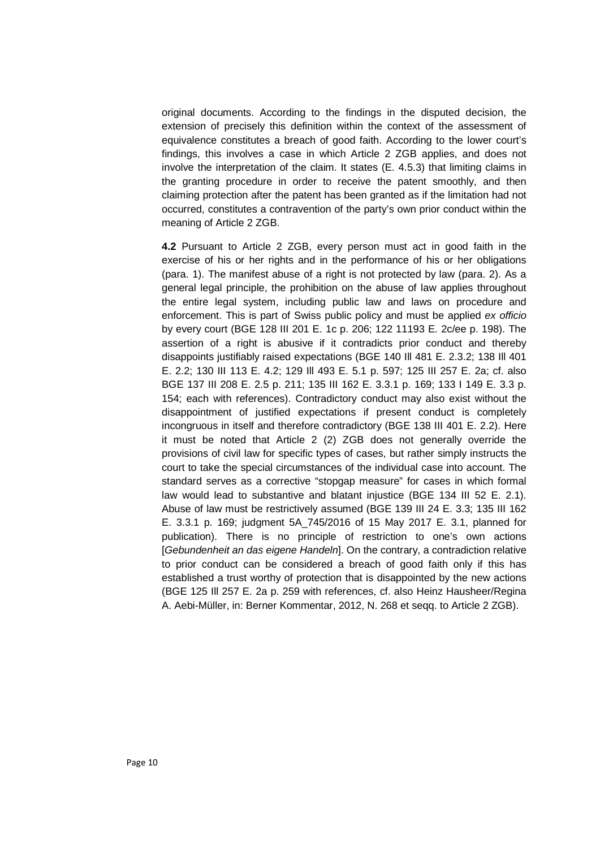original documents. According to the findings in the disputed decision, the extension of precisely this definition within the context of the assessment of equivalence constitutes a breach of good faith. According to the lower court's findings, this involves a case in which Article 2 ZGB applies, and does not involve the interpretation of the claim. It states (E. 4.5.3) that limiting claims in the granting procedure in order to receive the patent smoothly, and then claiming protection after the patent has been granted as if the limitation had not occurred, constitutes a contravention of the party's own prior conduct within the meaning of Article 2 ZGB.

**4.2** Pursuant to Article 2 ZGB, every person must act in good faith in the exercise of his or her rights and in the performance of his or her obligations (para. 1). The manifest abuse of a right is not protected by law (para. 2). As a general legal principle, the prohibition on the abuse of law applies throughout the entire legal system, including public law and laws on procedure and enforcement. This is part of Swiss public policy and must be applied *ex officio* by every court (BGE 128 III 201 E. 1c p. 206; 122 11193 E. 2c/ee p. 198). The assertion of a right is abusive if it contradicts prior conduct and thereby disappoints justifiably raised expectations (BGE 140 Ill 481 E. 2.3.2; 138 Ill 401 E. 2.2; 130 III 113 E. 4.2; 129 Ill 493 E. 5.1 p. 597; 125 III 257 E. 2a; cf. also BGE 137 III 208 E. 2.5 p. 211; 135 III 162 E. 3.3.1 p. 169; 133 I 149 E. 3.3 p. 154; each with references). Contradictory conduct may also exist without the disappointment of justified expectations if present conduct is completely incongruous in itself and therefore contradictory (BGE 138 III 401 E. 2.2). Here it must be noted that Article 2 (2) ZGB does not generally override the provisions of civil law for specific types of cases, but rather simply instructs the court to take the special circumstances of the individual case into account. The standard serves as a corrective "stopgap measure" for cases in which formal law would lead to substantive and blatant injustice (BGE 134 III 52 E. 2.1). Abuse of law must be restrictively assumed (BGE 139 III 24 E. 3.3; 135 III 162 E. 3.3.1 p. 169; judgment 5A\_745/2016 of 15 May 2017 E. 3.1, planned for publication). There is no principle of restriction to one's own actions [*Gebundenheit an das eigene Handeln*]. On the contrary, a contradiction relative to prior conduct can be considered a breach of good faith only if this has established a trust worthy of protection that is disappointed by the new actions (BGE 125 Ill 257 E. 2a p. 259 with references, cf. also Heinz Hausheer/Regina A. Aebi-Müller, in: Berner Kommentar, 2012, N. 268 et seqq. to Article 2 ZGB).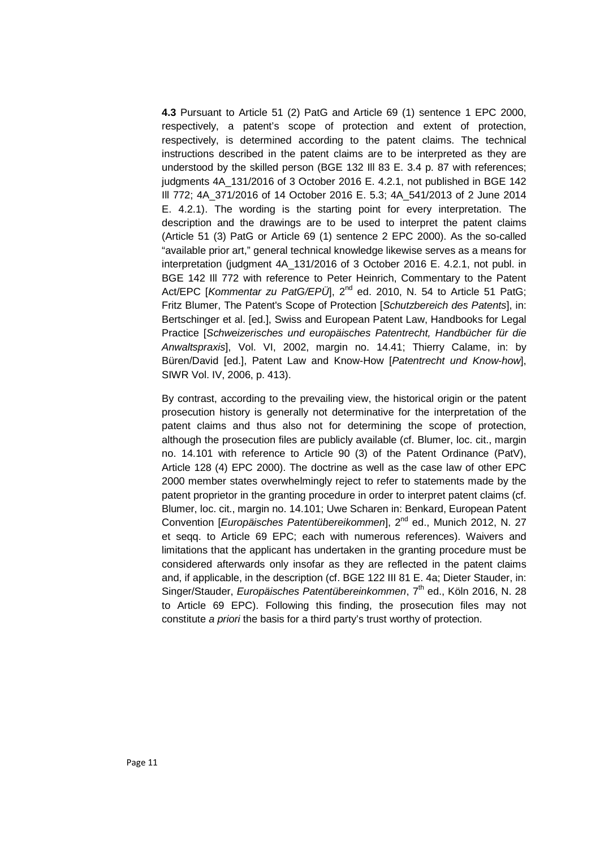**4.3** Pursuant to Article 51 (2) PatG and Article 69 (1) sentence 1 EPC 2000, respectively, a patent's scope of protection and extent of protection, respectively, is determined according to the patent claims. The technical instructions described in the patent claims are to be interpreted as they are understood by the skilled person (BGE 132 Ill 83 E. 3.4 p. 87 with references; judgments 4A\_131/2016 of 3 October 2016 E. 4.2.1, not published in BGE 142 Ill 772; 4A\_371/2016 of 14 October 2016 E. 5.3; 4A\_541/2013 of 2 June 2014 E. 4.2.1). The wording is the starting point for every interpretation. The description and the drawings are to be used to interpret the patent claims (Article 51 (3) PatG or Article 69 (1) sentence 2 EPC 2000). As the so-called "available prior art," general technical knowledge likewise serves as a means for interpretation (judgment 4A\_131/2016 of 3 October 2016 E. 4.2.1, not publ. in BGE 142 Ill 772 with reference to Peter Heinrich, Commentary to the Patent Act/EPC [Kommentar zu PatG/EPÜ], 2<sup>nd</sup> ed. 2010, N. 54 to Article 51 PatG; Fritz Blumer, The Patent's Scope of Protection [*Schutzbereich des Patents*], in: Bertschinger et al. [ed.], Swiss and European Patent Law, Handbooks for Legal Practice [*Schweizerisches und europäisches Patentrecht, Handbücher für die Anwaltspraxis*], Vol. VI, 2002, margin no. 14.41; Thierry Calame, in: by Büren/David [ed.], Patent Law and Know-How [*Patentrecht und Know-how*], SIWR Vol. IV, 2006, p. 413).

By contrast, according to the prevailing view, the historical origin or the patent prosecution history is generally not determinative for the interpretation of the patent claims and thus also not for determining the scope of protection, although the prosecution files are publicly available (cf. Blumer, loc. cit., margin no. 14.101 with reference to Article 90 (3) of the Patent Ordinance (PatV), Article 128 (4) EPC 2000). The doctrine as well as the case law of other EPC 2000 member states overwhelmingly reject to refer to statements made by the patent proprietor in the granting procedure in order to interpret patent claims (cf. Blumer, loc. cit., margin no. 14.101; Uwe Scharen in: Benkard, European Patent Convention [*Europäisches Patentübereikommen*], 2<sup>nd</sup> ed., Munich 2012, N. 27 et seqq. to Article 69 EPC; each with numerous references). Waivers and limitations that the applicant has undertaken in the granting procedure must be considered afterwards only insofar as they are reflected in the patent claims and, if applicable, in the description (cf. BGE 122 III 81 E. 4a; Dieter Stauder, in: Singer/Stauder, *Europäisches Patentübereinkommen*, 7<sup>th</sup> ed., Köln 2016, N. 28 to Article 69 EPC). Following this finding, the prosecution files may not constitute *a priori* the basis for a third party's trust worthy of protection.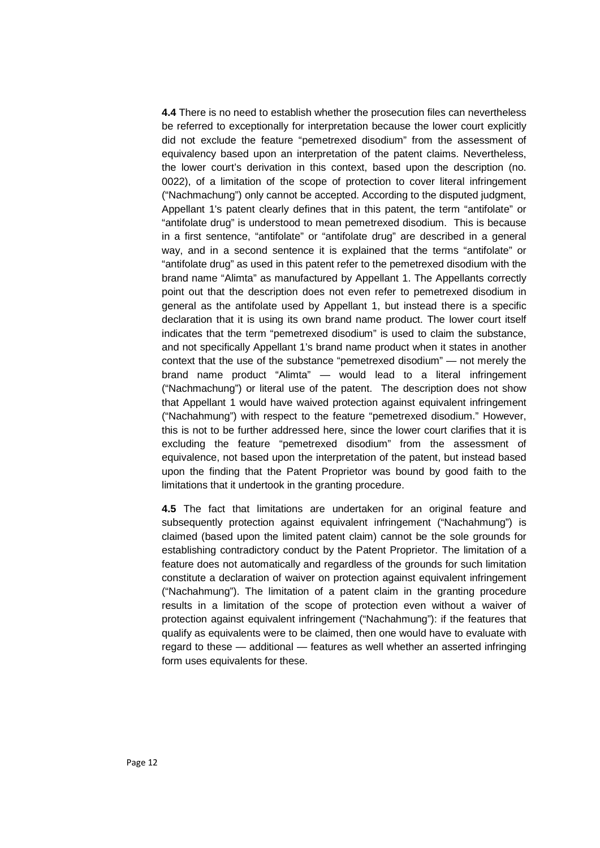**4.4** There is no need to establish whether the prosecution files can nevertheless be referred to exceptionally for interpretation because the lower court explicitly did not exclude the feature "pemetrexed disodium" from the assessment of equivalency based upon an interpretation of the patent claims. Nevertheless, the lower court's derivation in this context, based upon the description (no. 0022), of a limitation of the scope of protection to cover literal infringement ("Nachmachung") only cannot be accepted. According to the disputed judgment, Appellant 1's patent clearly defines that in this patent, the term "antifolate" or "antifolate drug" is understood to mean pemetrexed disodium. This is because in a first sentence, "antifolate" or "antifolate drug" are described in a general way, and in a second sentence it is explained that the terms "antifolate" or "antifolate drug" as used in this patent refer to the pemetrexed disodium with the brand name "Alimta" as manufactured by Appellant 1. The Appellants correctly point out that the description does not even refer to pemetrexed disodium in general as the antifolate used by Appellant 1, but instead there is a specific declaration that it is using its own brand name product. The lower court itself indicates that the term "pemetrexed disodium" is used to claim the substance, and not specifically Appellant 1's brand name product when it states in another context that the use of the substance "pemetrexed disodium" — not merely the brand name product "Alimta" — would lead to a literal infringement ("Nachmachung") or literal use of the patent. The description does not show that Appellant 1 would have waived protection against equivalent infringement ("Nachahmung") with respect to the feature "pemetrexed disodium." However, this is not to be further addressed here, since the lower court clarifies that it is excluding the feature "pemetrexed disodium" from the assessment of equivalence, not based upon the interpretation of the patent, but instead based upon the finding that the Patent Proprietor was bound by good faith to the limitations that it undertook in the granting procedure.

**4.5** The fact that limitations are undertaken for an original feature and subsequently protection against equivalent infringement ("Nachahmung") is claimed (based upon the limited patent claim) cannot be the sole grounds for establishing contradictory conduct by the Patent Proprietor. The limitation of a feature does not automatically and regardless of the grounds for such limitation constitute a declaration of waiver on protection against equivalent infringement ("Nachahmung"). The limitation of a patent claim in the granting procedure results in a limitation of the scope of protection even without a waiver of protection against equivalent infringement ("Nachahmung"): if the features that qualify as equivalents were to be claimed, then one would have to evaluate with regard to these — additional — features as well whether an asserted infringing form uses equivalents for these.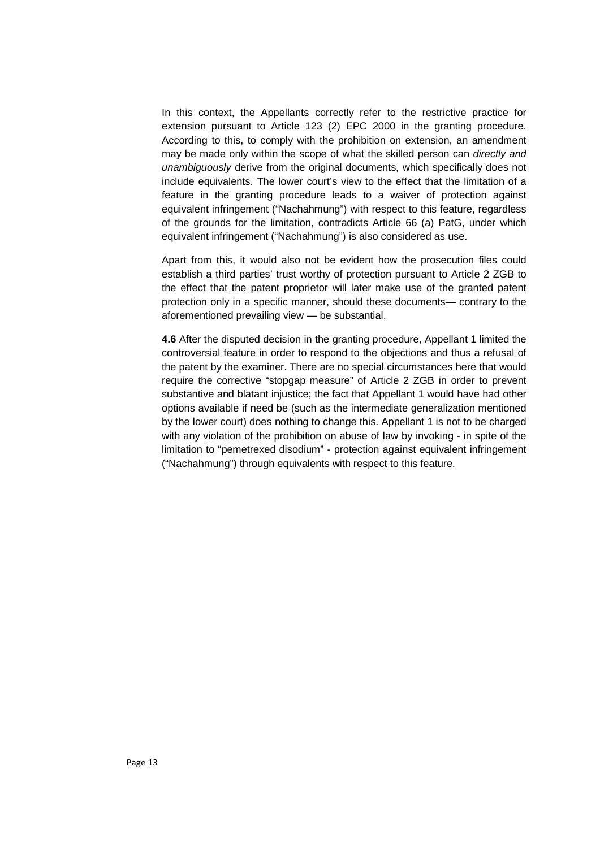In this context, the Appellants correctly refer to the restrictive practice for extension pursuant to Article 123 (2) EPC 2000 in the granting procedure. According to this, to comply with the prohibition on extension, an amendment may be made only within the scope of what the skilled person can *directly and unambiguously* derive from the original documents, which specifically does not include equivalents. The lower court's view to the effect that the limitation of a feature in the granting procedure leads to a waiver of protection against equivalent infringement ("Nachahmung") with respect to this feature, regardless of the grounds for the limitation, contradicts Article 66 (a) PatG, under which equivalent infringement ("Nachahmung") is also considered as use.

Apart from this, it would also not be evident how the prosecution files could establish a third parties' trust worthy of protection pursuant to Article 2 ZGB to the effect that the patent proprietor will later make use of the granted patent protection only in a specific manner, should these documents— contrary to the aforementioned prevailing view — be substantial.

**4.6** After the disputed decision in the granting procedure, Appellant 1 limited the controversial feature in order to respond to the objections and thus a refusal of the patent by the examiner. There are no special circumstances here that would require the corrective "stopgap measure" of Article 2 ZGB in order to prevent substantive and blatant injustice; the fact that Appellant 1 would have had other options available if need be (such as the intermediate generalization mentioned by the lower court) does nothing to change this. Appellant 1 is not to be charged with any violation of the prohibition on abuse of law by invoking - in spite of the limitation to "pemetrexed disodium" - protection against equivalent infringement ("Nachahmung") through equivalents with respect to this feature.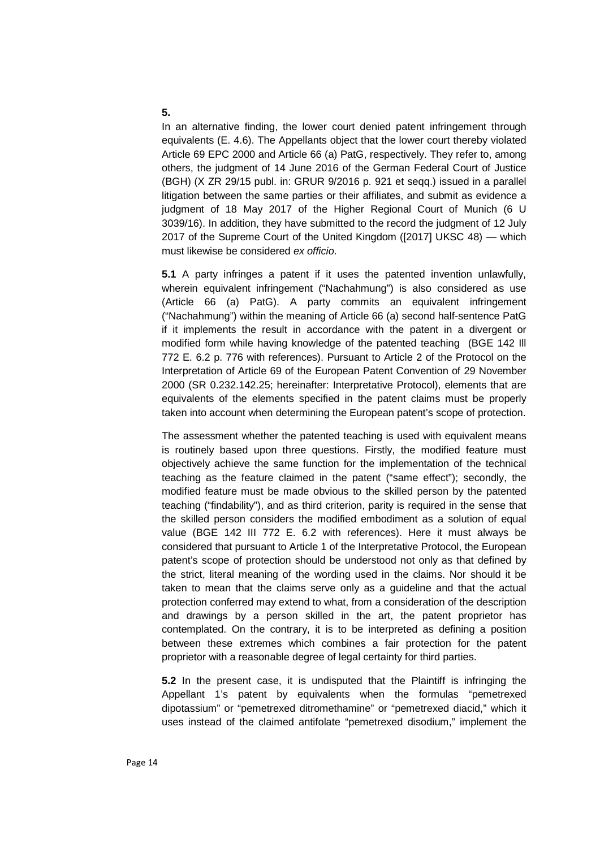#### **5.**

In an alternative finding, the lower court denied patent infringement through equivalents (E. 4.6). The Appellants object that the lower court thereby violated Article 69 EPC 2000 and Article 66 (a) PatG, respectively. They refer to, among others, the judgment of 14 June 2016 of the German Federal Court of Justice (BGH) (X ZR 29/15 publ. in: GRUR 9/2016 p. 921 et seqq.) issued in a parallel litigation between the same parties or their affiliates, and submit as evidence a judgment of 18 May 2017 of the Higher Regional Court of Munich (6 U 3039/16). In addition, they have submitted to the record the judgment of 12 July 2017 of the Supreme Court of the United Kingdom ([2017] UKSC 48) — which must likewise be considered *ex officio*.

**5.1** A party infringes a patent if it uses the patented invention unlawfully, wherein equivalent infringement ("Nachahmung") is also considered as use (Article 66 (a) PatG). A party commits an equivalent infringement ("Nachahmung") within the meaning of Article 66 (a) second half-sentence PatG if it implements the result in accordance with the patent in a divergent or modified form while having knowledge of the patented teaching (BGE 142 Ill 772 E. 6.2 p. 776 with references). Pursuant to Article 2 of the Protocol on the Interpretation of Article 69 of the European Patent Convention of 29 November 2000 (SR 0.232.142.25; hereinafter: Interpretative Protocol), elements that are equivalents of the elements specified in the patent claims must be properly taken into account when determining the European patent's scope of protection.

The assessment whether the patented teaching is used with equivalent means is routinely based upon three questions. Firstly, the modified feature must objectively achieve the same function for the implementation of the technical teaching as the feature claimed in the patent ("same effect"); secondly, the modified feature must be made obvious to the skilled person by the patented teaching ("findability"), and as third criterion, parity is required in the sense that the skilled person considers the modified embodiment as a solution of equal value (BGE 142 III 772 E. 6.2 with references). Here it must always be considered that pursuant to Article 1 of the Interpretative Protocol, the European patent's scope of protection should be understood not only as that defined by the strict, literal meaning of the wording used in the claims. Nor should it be taken to mean that the claims serve only as a guideline and that the actual protection conferred may extend to what, from a consideration of the description and drawings by a person skilled in the art, the patent proprietor has contemplated. On the contrary, it is to be interpreted as defining a position between these extremes which combines a fair protection for the patent proprietor with a reasonable degree of legal certainty for third parties.

**5.2** In the present case, it is undisputed that the Plaintiff is infringing the Appellant 1's patent by equivalents when the formulas "pemetrexed dipotassium" or "pemetrexed ditromethamine" or "pemetrexed diacid," which it uses instead of the claimed antifolate "pemetrexed disodium," implement the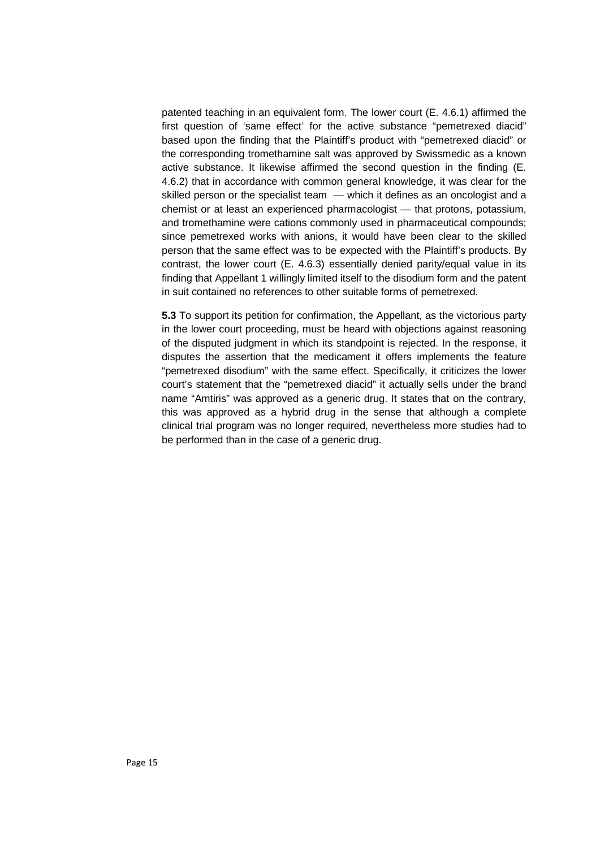patented teaching in an equivalent form. The lower court (E. 4.6.1) affirmed the first question of 'same effect' for the active substance "pemetrexed diacid" based upon the finding that the Plaintiff's product with "pemetrexed diacid" or the corresponding tromethamine salt was approved by Swissmedic as a known active substance. It likewise affirmed the second question in the finding (E. 4.6.2) that in accordance with common general knowledge, it was clear for the skilled person or the specialist team — which it defines as an oncologist and a chemist or at least an experienced pharmacologist — that protons, potassium, and tromethamine were cations commonly used in pharmaceutical compounds; since pemetrexed works with anions, it would have been clear to the skilled person that the same effect was to be expected with the Plaintiff's products. By contrast, the lower court  $(E. 4.6.3)$  essentially denied parity/equal value in its finding that Appellant 1 willingly limited itself to the disodium form and the patent in suit contained no references to other suitable forms of pemetrexed.

**5.3** To support its petition for confirmation, the Appellant, as the victorious party in the lower court proceeding, must be heard with objections against reasoning of the disputed judgment in which its standpoint is rejected. In the response, it disputes the assertion that the medicament it offers implements the feature "pemetrexed disodium" with the same effect. Specifically, it criticizes the lower court's statement that the "pemetrexed diacid" it actually sells under the brand name "Amtiris" was approved as a generic drug. It states that on the contrary, this was approved as a hybrid drug in the sense that although a complete clinical trial program was no longer required, nevertheless more studies had to be performed than in the case of a generic drug.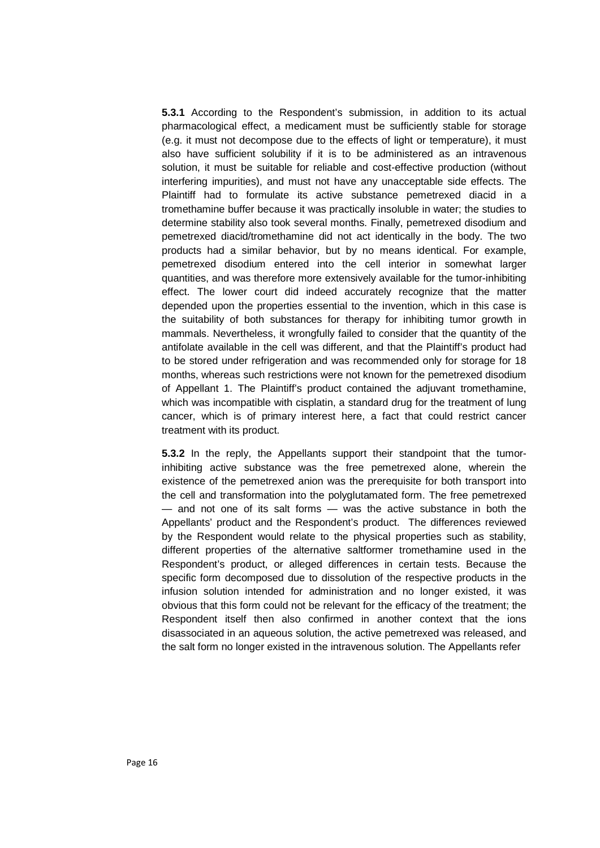**5.3.1** According to the Respondent's submission, in addition to its actual pharmacological effect, a medicament must be sufficiently stable for storage (e.g. it must not decompose due to the effects of light or temperature), it must also have sufficient solubility if it is to be administered as an intravenous solution, it must be suitable for reliable and cost-effective production (without interfering impurities), and must not have any unacceptable side effects. The Plaintiff had to formulate its active substance pemetrexed diacid in a tromethamine buffer because it was practically insoluble in water; the studies to determine stability also took several months. Finally, pemetrexed disodium and pemetrexed diacid/tromethamine did not act identically in the body. The two products had a similar behavior, but by no means identical. For example, pemetrexed disodium entered into the cell interior in somewhat larger quantities, and was therefore more extensively available for the tumor-inhibiting effect. The lower court did indeed accurately recognize that the matter depended upon the properties essential to the invention, which in this case is the suitability of both substances for therapy for inhibiting tumor growth in mammals. Nevertheless, it wrongfully failed to consider that the quantity of the antifolate available in the cell was different, and that the Plaintiff's product had to be stored under refrigeration and was recommended only for storage for 18 months, whereas such restrictions were not known for the pemetrexed disodium of Appellant 1. The Plaintiff's product contained the adjuvant tromethamine, which was incompatible with cisplatin, a standard drug for the treatment of lung cancer, which is of primary interest here, a fact that could restrict cancer treatment with its product.

**5.3.2** In the reply, the Appellants support their standpoint that the tumorinhibiting active substance was the free pemetrexed alone, wherein the existence of the pemetrexed anion was the prerequisite for both transport into the cell and transformation into the polyglutamated form. The free pemetrexed — and not one of its salt forms — was the active substance in both the Appellants' product and the Respondent's product. The differences reviewed by the Respondent would relate to the physical properties such as stability, different properties of the alternative saltformer tromethamine used in the Respondent's product, or alleged differences in certain tests. Because the specific form decomposed due to dissolution of the respective products in the infusion solution intended for administration and no longer existed, it was obvious that this form could not be relevant for the efficacy of the treatment; the Respondent itself then also confirmed in another context that the ions disassociated in an aqueous solution, the active pemetrexed was released, and the salt form no longer existed in the intravenous solution. The Appellants refer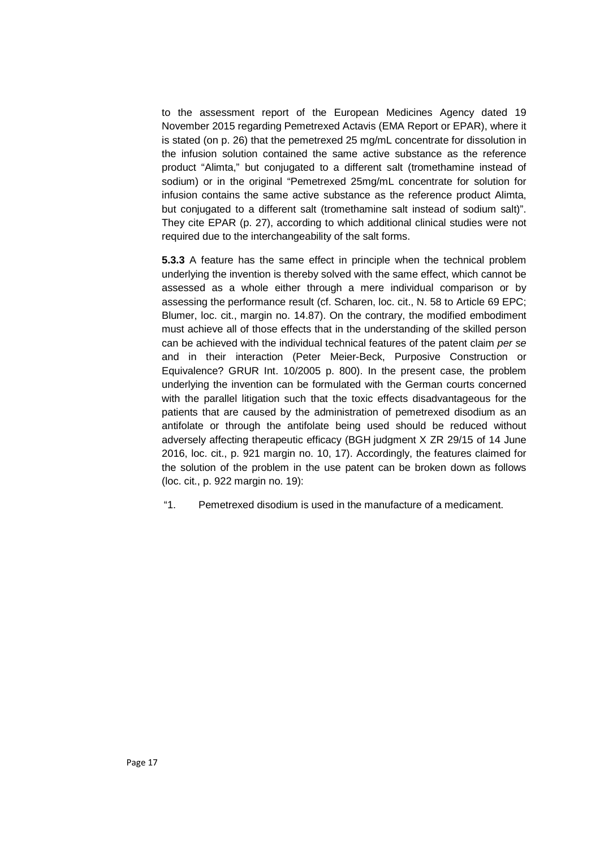to the assessment report of the European Medicines Agency dated 19 November 2015 regarding Pemetrexed Actavis (EMA Report or EPAR), where it is stated (on p. 26) that the pemetrexed 25 mg/mL concentrate for dissolution in the infusion solution contained the same active substance as the reference product "Alimta," but conjugated to a different salt (tromethamine instead of sodium) or in the original "Pemetrexed 25mg/mL concentrate for solution for infusion contains the same active substance as the reference product Alimta, but conjugated to a different salt (tromethamine salt instead of sodium salt)". They cite EPAR (p. 27), according to which additional clinical studies were not required due to the interchangeability of the salt forms.

**5.3.3** A feature has the same effect in principle when the technical problem underlying the invention is thereby solved with the same effect, which cannot be assessed as a whole either through a mere individual comparison or by assessing the performance result (cf. Scharen, loc. cit., N. 58 to Article 69 EPC; Blumer, loc. cit., margin no. 14.87). On the contrary, the modified embodiment must achieve all of those effects that in the understanding of the skilled person can be achieved with the individual technical features of the patent claim *per se* and in their interaction (Peter Meier-Beck, Purposive Construction or Equivalence? GRUR Int. 10/2005 p. 800). In the present case, the problem underlying the invention can be formulated with the German courts concerned with the parallel litigation such that the toxic effects disadvantageous for the patients that are caused by the administration of pemetrexed disodium as an antifolate or through the antifolate being used should be reduced without adversely affecting therapeutic efficacy (BGH judgment X ZR 29/15 of 14 June 2016, loc. cit., p. 921 margin no. 10, 17). Accordingly, the features claimed for the solution of the problem in the use patent can be broken down as follows (loc. cit., p. 922 margin no. 19):

"1. Pemetrexed disodium is used in the manufacture of a medicament.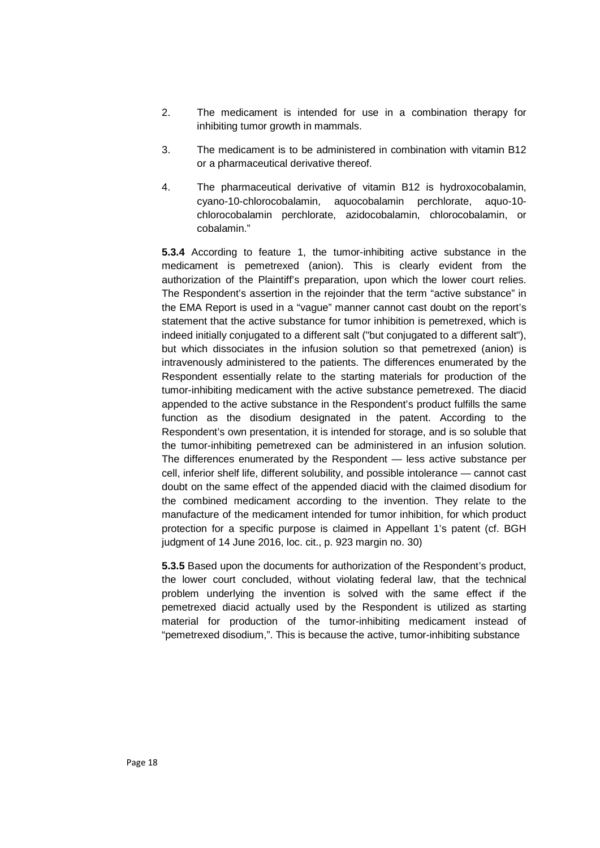- 2. The medicament is intended for use in a combination therapy for inhibiting tumor growth in mammals.
- 3. The medicament is to be administered in combination with vitamin B12 or a pharmaceutical derivative thereof.
- 4. The pharmaceutical derivative of vitamin B12 is hydroxocobalamin, cyano-10-chlorocobalamin, aquocobalamin perchlorate, aquo-10 chlorocobalamin perchlorate, azidocobalamin, chlorocobalamin, or cobalamin."

**5.3.4** According to feature 1, the tumor-inhibiting active substance in the medicament is pemetrexed (anion). This is clearly evident from the authorization of the Plaintiff's preparation, upon which the lower court relies. The Respondent's assertion in the rejoinder that the term "active substance" in the EMA Report is used in a "vague" manner cannot cast doubt on the report's statement that the active substance for tumor inhibition is pemetrexed, which is indeed initially conjugated to a different salt ("but conjugated to a different salt"), but which dissociates in the infusion solution so that pemetrexed (anion) is intravenously administered to the patients. The differences enumerated by the Respondent essentially relate to the starting materials for production of the tumor-inhibiting medicament with the active substance pemetrexed. The diacid appended to the active substance in the Respondent's product fulfills the same function as the disodium designated in the patent. According to the Respondent's own presentation, it is intended for storage, and is so soluble that the tumor-inhibiting pemetrexed can be administered in an infusion solution. The differences enumerated by the Respondent — less active substance per cell, inferior shelf life, different solubility, and possible intolerance — cannot cast doubt on the same effect of the appended diacid with the claimed disodium for the combined medicament according to the invention. They relate to the manufacture of the medicament intended for tumor inhibition, for which product protection for a specific purpose is claimed in Appellant 1's patent (cf. BGH judgment of 14 June 2016, loc. cit., p. 923 margin no. 30)

**5.3.5** Based upon the documents for authorization of the Respondent's product, the lower court concluded, without violating federal law, that the technical problem underlying the invention is solved with the same effect if the pemetrexed diacid actually used by the Respondent is utilized as starting material for production of the tumor-inhibiting medicament instead of "pemetrexed disodium,". This is because the active, tumor-inhibiting substance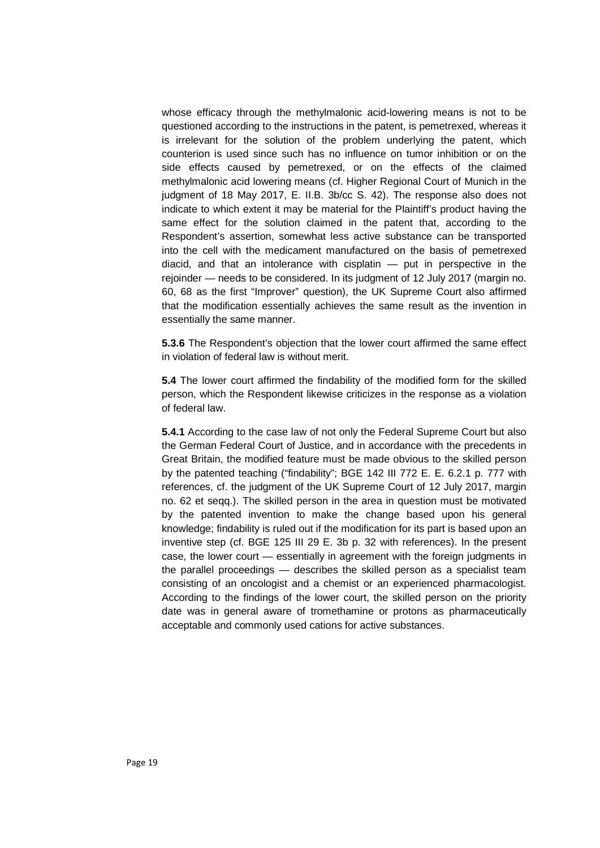whose efficacy through the methylmalonic acid-lowering means is not to be questioned according to the instructions in the patent, is pemetrexed, whereas it is irrelevant for the solution of the problem underlying the patent, which counterion is used since such has no influence on tumor inhibition or on the side effects caused by pemetrexed, or on the effects of the claimed methylmalonic acid lowering means (cf. Higher Regional Court of Munich in the judgment of 18 May 2017, E. II.B. 3b/cc S. 42). The response also does not indicate to which extent it may be material for the Plaintiff's product having the same effect for the solution claimed in the patent that, according to the Respondent's assertion, somewhat less active substance can be transported into the cell with the medicament manufactured on the basis of pemetrexed diacid, and that an intolerance with cisplatin — put in perspective in the rejoinder — needs to be considered. In its judgment of 12 July 2017 (margin no. 60, 68 as the first "Improver" question), the UK Supreme Court also affirmed that the modification essentially achieves the same result as the invention in essentially the same manner.

**5.3.6** The Respondent's objection that the lower court affirmed the same effect in violation of federal law is without merit.

**5.4** The lower court affirmed the findability of the modified form for the skilled person, which the Respondent likewise criticizes in the response as a violation of federal law.

**5.4.1** According to the case law of not only the Federal Supreme Court but also the German Federal Court of Justice, and in accordance with the precedents in Great Britain, the modified feature must be made obvious to the skilled person by the patented teaching ("findability"; BGE 142 III 772 E. E. 6.2.1 p. 777 with references, cf. the judgment of the UK Supreme Court of 12 July 2017, margin no. 62 et seqq.). The skilled person in the area in question must be motivated by the patented invention to make the change based upon his general knowledge; findability is ruled out if the modification for its part is based upon an inventive step (cf. BGE 125 III 29 E. 3b p. 32 with references). In the present case, the lower court — essentially in agreement with the foreign judgments in the parallel proceedings — describes the skilled person as a specialist team consisting of an oncologist and a chemist or an experienced pharmacologist. According to the findings of the lower court, the skilled person on the priority date was in general aware of tromethamine or protons as pharmaceutically acceptable and commonly used cations for active substances.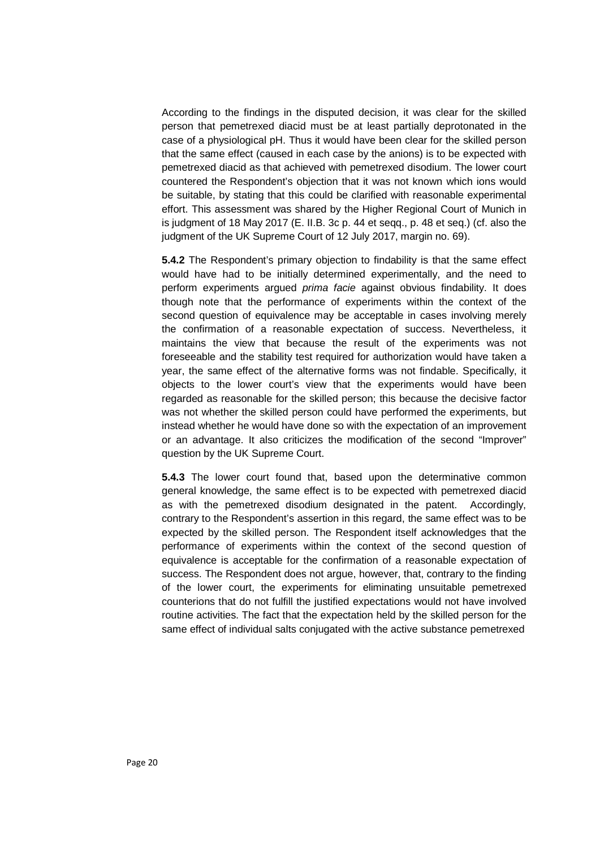According to the findings in the disputed decision, it was clear for the skilled person that pemetrexed diacid must be at least partially deprotonated in the case of a physiological pH. Thus it would have been clear for the skilled person that the same effect (caused in each case by the anions) is to be expected with pemetrexed diacid as that achieved with pemetrexed disodium. The lower court countered the Respondent's objection that it was not known which ions would be suitable, by stating that this could be clarified with reasonable experimental effort. This assessment was shared by the Higher Regional Court of Munich in is judgment of 18 May 2017 (E. II.B. 3c p. 44 et seqq., p. 48 et seq.) (cf. also the judgment of the UK Supreme Court of 12 July 2017, margin no. 69).

**5.4.2** The Respondent's primary objection to findability is that the same effect would have had to be initially determined experimentally, and the need to perform experiments argued *prima facie* against obvious findability. It does though note that the performance of experiments within the context of the second question of equivalence may be acceptable in cases involving merely the confirmation of a reasonable expectation of success. Nevertheless, it maintains the view that because the result of the experiments was not foreseeable and the stability test required for authorization would have taken a year, the same effect of the alternative forms was not findable. Specifically, it objects to the lower court's view that the experiments would have been regarded as reasonable for the skilled person; this because the decisive factor was not whether the skilled person could have performed the experiments, but instead whether he would have done so with the expectation of an improvement or an advantage. It also criticizes the modification of the second "Improver" question by the UK Supreme Court.

**5.4.3** The lower court found that, based upon the determinative common general knowledge, the same effect is to be expected with pemetrexed diacid as with the pemetrexed disodium designated in the patent. Accordingly, contrary to the Respondent's assertion in this regard, the same effect was to be expected by the skilled person. The Respondent itself acknowledges that the performance of experiments within the context of the second question of equivalence is acceptable for the confirmation of a reasonable expectation of success. The Respondent does not argue, however, that, contrary to the finding of the lower court, the experiments for eliminating unsuitable pemetrexed counterions that do not fulfill the justified expectations would not have involved routine activities. The fact that the expectation held by the skilled person for the same effect of individual salts conjugated with the active substance pemetrexed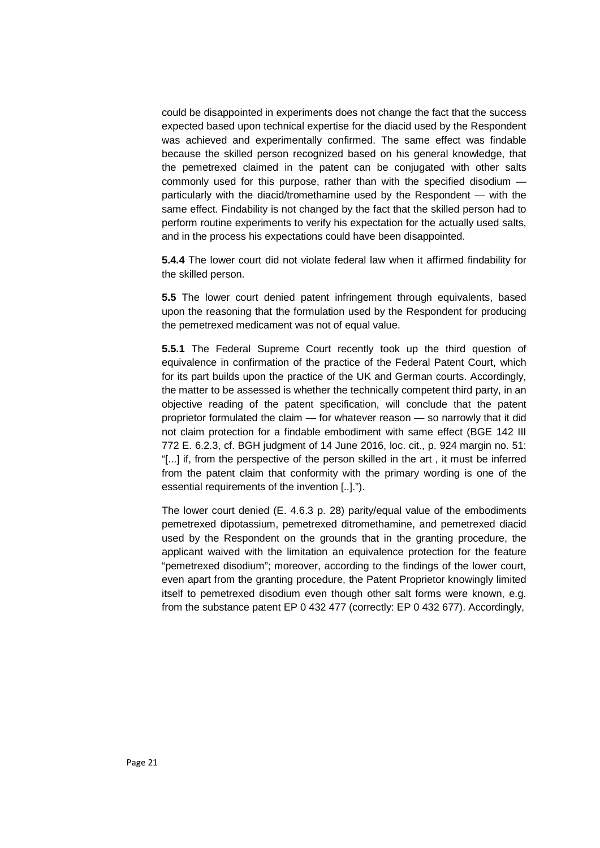could be disappointed in experiments does not change the fact that the success expected based upon technical expertise for the diacid used by the Respondent was achieved and experimentally confirmed. The same effect was findable because the skilled person recognized based on his general knowledge, that the pemetrexed claimed in the patent can be conjugated with other salts commonly used for this purpose, rather than with the specified disodium particularly with the diacid/tromethamine used by the Respondent — with the same effect. Findability is not changed by the fact that the skilled person had to perform routine experiments to verify his expectation for the actually used salts, and in the process his expectations could have been disappointed.

**5.4.4** The lower court did not violate federal law when it affirmed findability for the skilled person.

**5.5** The lower court denied patent infringement through equivalents, based upon the reasoning that the formulation used by the Respondent for producing the pemetrexed medicament was not of equal value.

**5.5.1** The Federal Supreme Court recently took up the third question of equivalence in confirmation of the practice of the Federal Patent Court, which for its part builds upon the practice of the UK and German courts. Accordingly, the matter to be assessed is whether the technically competent third party, in an objective reading of the patent specification, will conclude that the patent proprietor formulated the claim — for whatever reason — so narrowly that it did not claim protection for a findable embodiment with same effect (BGE 142 III 772 E. 6.2.3, cf. BGH judgment of 14 June 2016, loc. cit., p. 924 margin no. 51: "[...] if, from the perspective of the person skilled in the art , it must be inferred from the patent claim that conformity with the primary wording is one of the essential requirements of the invention [..].").

The lower court denied (E. 4.6.3 p. 28) parity/equal value of the embodiments pemetrexed dipotassium, pemetrexed ditromethamine, and pemetrexed diacid used by the Respondent on the grounds that in the granting procedure, the applicant waived with the limitation an equivalence protection for the feature "pemetrexed disodium"; moreover, according to the findings of the lower court, even apart from the granting procedure, the Patent Proprietor knowingly limited itself to pemetrexed disodium even though other salt forms were known, e.g. from the substance patent EP 0 432 477 (correctly: EP 0 432 677). Accordingly,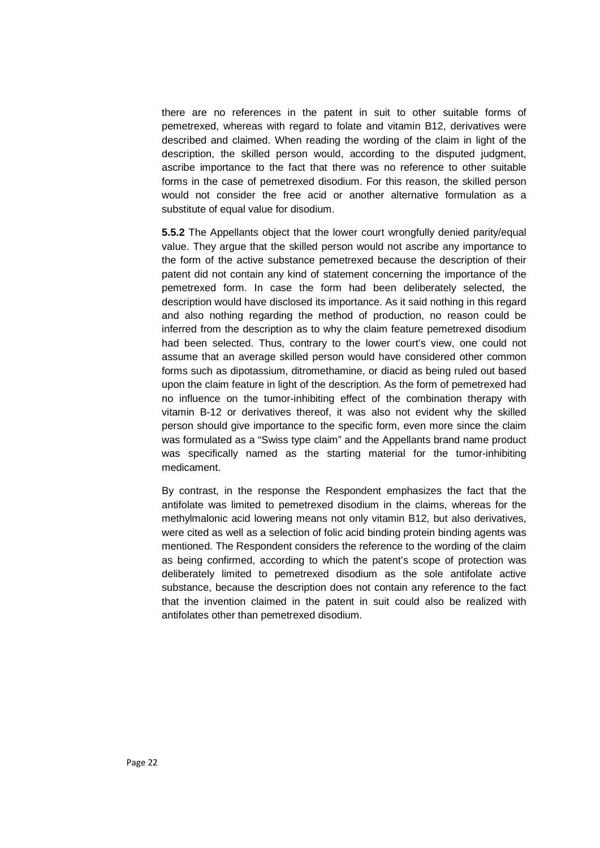there are no references in the patent in suit to other suitable forms of pemetrexed, whereas with regard to folate and vitamin B12, derivatives were described and claimed. When reading the wording of the claim in light of the description, the skilled person would, according to the disputed judgment, ascribe importance to the fact that there was no reference to other suitable forms in the case of pemetrexed disodium. For this reason, the skilled person would not consider the free acid or another alternative formulation as a substitute of equal value for disodium.

**5.5.2** The Appellants object that the lower court wrongfully denied parity/equal value. They argue that the skilled person would not ascribe any importance to the form of the active substance pemetrexed because the description of their patent did not contain any kind of statement concerning the importance of the pemetrexed form. In case the form had been deliberately selected, the description would have disclosed its importance. As it said nothing in this regard and also nothing regarding the method of production, no reason could be inferred from the description as to why the claim feature pemetrexed disodium had been selected. Thus, contrary to the lower court's view, one could not assume that an average skilled person would have considered other common forms such as dipotassium, ditromethamine, or diacid as being ruled out based upon the claim feature in light of the description. As the form of pemetrexed had no influence on the tumor-inhibiting effect of the combination therapy with vitamin B-12 or derivatives thereof, it was also not evident why the skilled person should give importance to the specific form, even more since the claim was formulated as a "Swiss type claim" and the Appellants brand name product was specifically named as the starting material for the tumor-inhibiting medicament.

By contrast, in the response the Respondent emphasizes the fact that the antifolate was limited to pemetrexed disodium in the claims, whereas for the methylmalonic acid lowering means not only vitamin B12, but also derivatives, were cited as well as a selection of folic acid binding protein binding agents was mentioned. The Respondent considers the reference to the wording of the claim as being confirmed, according to which the patent's scope of protection was deliberately limited to pemetrexed disodium as the sole antifolate active substance, because the description does not contain any reference to the fact that the invention claimed in the patent in suit could also be realized with antifolates other than pemetrexed disodium.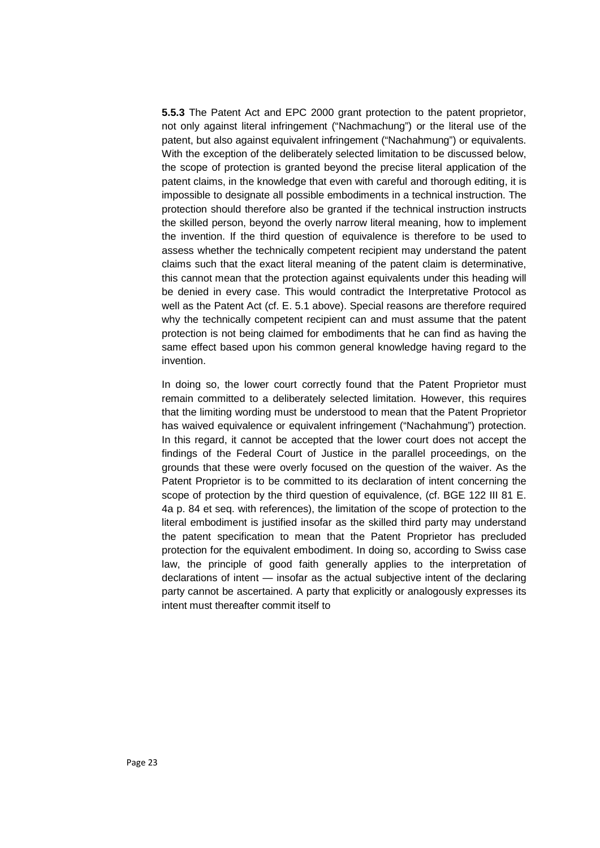**5.5.3** The Patent Act and EPC 2000 grant protection to the patent proprietor, not only against literal infringement ("Nachmachung") or the literal use of the patent, but also against equivalent infringement ("Nachahmung") or equivalents. With the exception of the deliberately selected limitation to be discussed below, the scope of protection is granted beyond the precise literal application of the patent claims, in the knowledge that even with careful and thorough editing, it is impossible to designate all possible embodiments in a technical instruction. The protection should therefore also be granted if the technical instruction instructs the skilled person, beyond the overly narrow literal meaning, how to implement the invention. If the third question of equivalence is therefore to be used to assess whether the technically competent recipient may understand the patent claims such that the exact literal meaning of the patent claim is determinative, this cannot mean that the protection against equivalents under this heading will be denied in every case. This would contradict the Interpretative Protocol as well as the Patent Act (cf. E. 5.1 above). Special reasons are therefore required why the technically competent recipient can and must assume that the patent protection is not being claimed for embodiments that he can find as having the same effect based upon his common general knowledge having regard to the invention.

In doing so, the lower court correctly found that the Patent Proprietor must remain committed to a deliberately selected limitation. However, this requires that the limiting wording must be understood to mean that the Patent Proprietor has waived equivalence or equivalent infringement ("Nachahmung") protection. In this regard, it cannot be accepted that the lower court does not accept the findings of the Federal Court of Justice in the parallel proceedings, on the grounds that these were overly focused on the question of the waiver. As the Patent Proprietor is to be committed to its declaration of intent concerning the scope of protection by the third question of equivalence, (cf. BGE 122 III 81 E. 4a p. 84 et seq. with references), the limitation of the scope of protection to the literal embodiment is justified insofar as the skilled third party may understand the patent specification to mean that the Patent Proprietor has precluded protection for the equivalent embodiment. In doing so, according to Swiss case law, the principle of good faith generally applies to the interpretation of declarations of intent — insofar as the actual subjective intent of the declaring party cannot be ascertained. A party that explicitly or analogously expresses its intent must thereafter commit itself to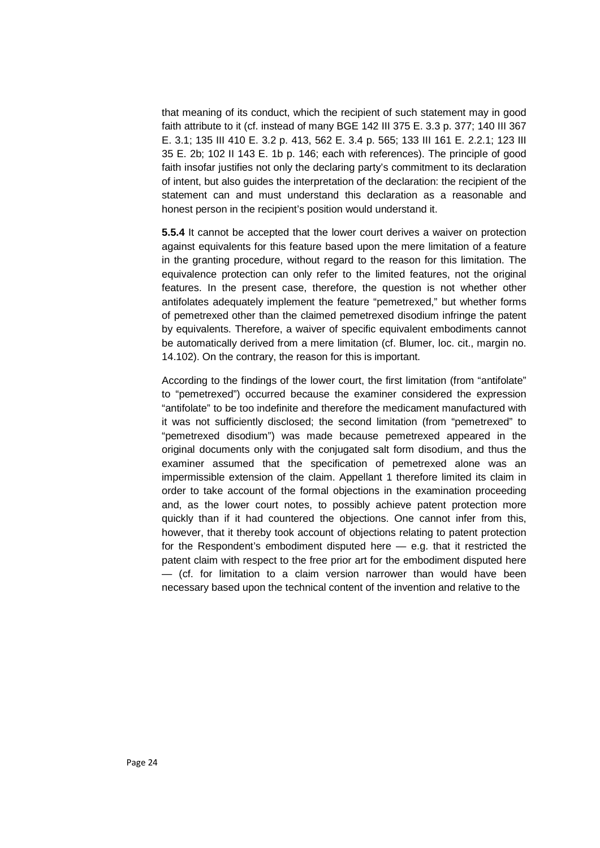that meaning of its conduct, which the recipient of such statement may in good faith attribute to it (cf. instead of many BGE 142 III 375 E. 3.3 p. 377; 140 III 367 E. 3.1; 135 III 410 E. 3.2 p. 413, 562 E. 3.4 p. 565; 133 III 161 E. 2.2.1; 123 III 35 E. 2b; 102 II 143 E. 1b p. 146; each with references). The principle of good faith insofar justifies not only the declaring party's commitment to its declaration of intent, but also guides the interpretation of the declaration: the recipient of the statement can and must understand this declaration as a reasonable and honest person in the recipient's position would understand it.

**5.5.4** It cannot be accepted that the lower court derives a waiver on protection against equivalents for this feature based upon the mere limitation of a feature in the granting procedure, without regard to the reason for this limitation. The equivalence protection can only refer to the limited features, not the original features. In the present case, therefore, the question is not whether other antifolates adequately implement the feature "pemetrexed," but whether forms of pemetrexed other than the claimed pemetrexed disodium infringe the patent by equivalents. Therefore, a waiver of specific equivalent embodiments cannot be automatically derived from a mere limitation (cf. Blumer, loc. cit., margin no. 14.102). On the contrary, the reason for this is important.

According to the findings of the lower court, the first limitation (from "antifolate" to "pemetrexed") occurred because the examiner considered the expression "antifolate" to be too indefinite and therefore the medicament manufactured with it was not sufficiently disclosed; the second limitation (from "pemetrexed" to "pemetrexed disodium") was made because pemetrexed appeared in the original documents only with the conjugated salt form disodium, and thus the examiner assumed that the specification of pemetrexed alone was an impermissible extension of the claim. Appellant 1 therefore limited its claim in order to take account of the formal objections in the examination proceeding and, as the lower court notes, to possibly achieve patent protection more quickly than if it had countered the objections. One cannot infer from this, however, that it thereby took account of objections relating to patent protection for the Respondent's embodiment disputed here — e.g. that it restricted the patent claim with respect to the free prior art for the embodiment disputed here — (cf. for limitation to a claim version narrower than would have been necessary based upon the technical content of the invention and relative to the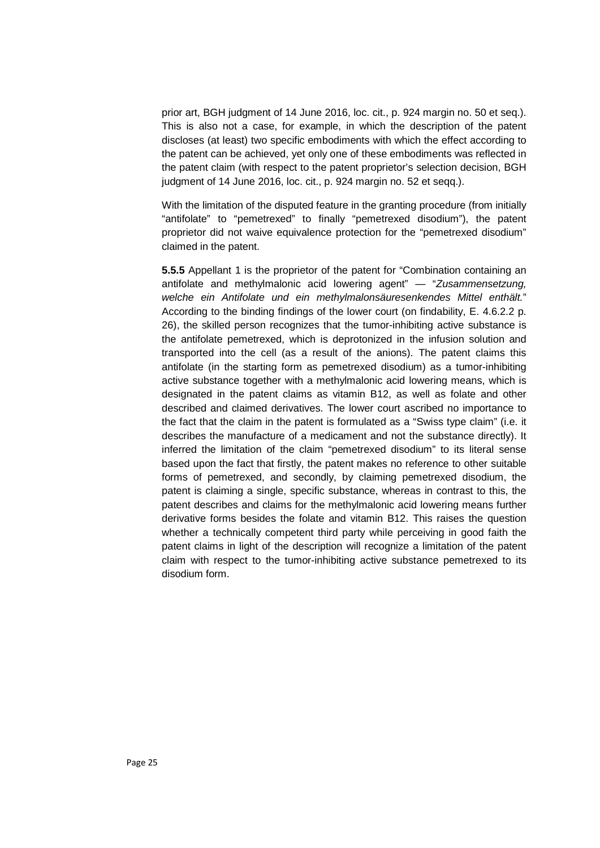prior art, BGH judgment of 14 June 2016, loc. cit., p. 924 margin no. 50 et seq.). This is also not a case, for example, in which the description of the patent discloses (at least) two specific embodiments with which the effect according to the patent can be achieved, yet only one of these embodiments was reflected in the patent claim (with respect to the patent proprietor's selection decision, BGH judgment of 14 June 2016, loc. cit., p. 924 margin no. 52 et seqq.).

With the limitation of the disputed feature in the granting procedure (from initially "antifolate" to "pemetrexed" to finally "pemetrexed disodium"), the patent proprietor did not waive equivalence protection for the "pemetrexed disodium" claimed in the patent.

**5.5.5** Appellant 1 is the proprietor of the patent for "Combination containing an antifolate and methylmalonic acid lowering agent" — "*Zusammensetzung, welche ein Antifolate und ein methylmalonsäuresenkendes Mittel enthält.*" According to the binding findings of the lower court (on findability, E. 4.6.2.2 p. 26), the skilled person recognizes that the tumor-inhibiting active substance is the antifolate pemetrexed, which is deprotonized in the infusion solution and transported into the cell (as a result of the anions). The patent claims this antifolate (in the starting form as pemetrexed disodium) as a tumor-inhibiting active substance together with a methylmalonic acid lowering means, which is designated in the patent claims as vitamin B12, as well as folate and other described and claimed derivatives. The lower court ascribed no importance to the fact that the claim in the patent is formulated as a "Swiss type claim" (i.e. it describes the manufacture of a medicament and not the substance directly). It inferred the limitation of the claim "pemetrexed disodium" to its literal sense based upon the fact that firstly, the patent makes no reference to other suitable forms of pemetrexed, and secondly, by claiming pemetrexed disodium, the patent is claiming a single, specific substance, whereas in contrast to this, the patent describes and claims for the methylmalonic acid lowering means further derivative forms besides the folate and vitamin B12. This raises the question whether a technically competent third party while perceiving in good faith the patent claims in light of the description will recognize a limitation of the patent claim with respect to the tumor-inhibiting active substance pemetrexed to its disodium form.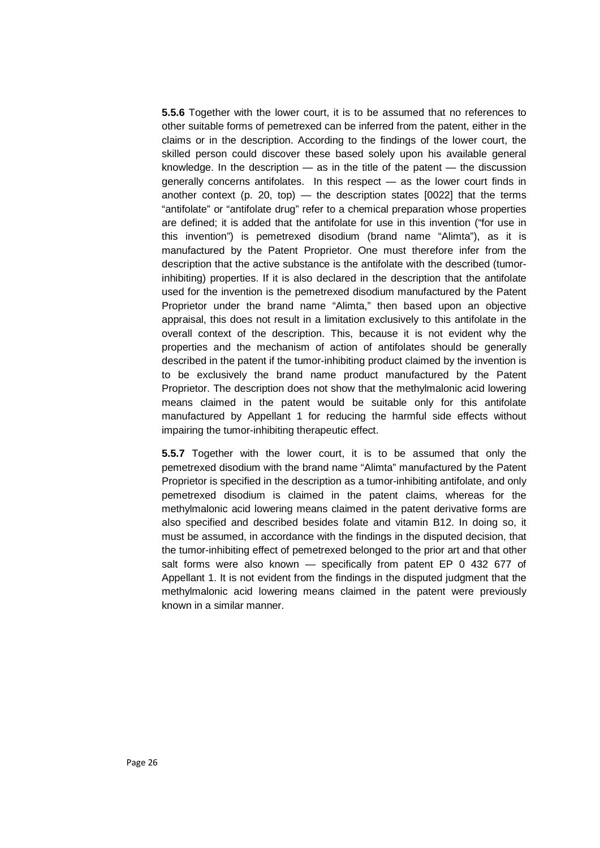**5.5.6** Together with the lower court, it is to be assumed that no references to other suitable forms of pemetrexed can be inferred from the patent, either in the claims or in the description. According to the findings of the lower court, the skilled person could discover these based solely upon his available general knowledge. In the description  $-$  as in the title of the patent  $-$  the discussion generally concerns antifolates. In this respect — as the lower court finds in another context (p. 20, top) — the description states  $[0022]$  that the terms "antifolate" or "antifolate drug" refer to a chemical preparation whose properties are defined; it is added that the antifolate for use in this invention ("for use in this invention") is pemetrexed disodium (brand name "Alimta"), as it is manufactured by the Patent Proprietor. One must therefore infer from the description that the active substance is the antifolate with the described (tumorinhibiting) properties. If it is also declared in the description that the antifolate used for the invention is the pemetrexed disodium manufactured by the Patent Proprietor under the brand name "Alimta," then based upon an objective appraisal, this does not result in a limitation exclusively to this antifolate in the overall context of the description. This, because it is not evident why the properties and the mechanism of action of antifolates should be generally described in the patent if the tumor-inhibiting product claimed by the invention is to be exclusively the brand name product manufactured by the Patent Proprietor. The description does not show that the methylmalonic acid lowering means claimed in the patent would be suitable only for this antifolate manufactured by Appellant 1 for reducing the harmful side effects without impairing the tumor-inhibiting therapeutic effect.

**5.5.7** Together with the lower court, it is to be assumed that only the pemetrexed disodium with the brand name "Alimta" manufactured by the Patent Proprietor is specified in the description as a tumor-inhibiting antifolate, and only pemetrexed disodium is claimed in the patent claims, whereas for the methylmalonic acid lowering means claimed in the patent derivative forms are also specified and described besides folate and vitamin B12. In doing so, it must be assumed, in accordance with the findings in the disputed decision, that the tumor-inhibiting effect of pemetrexed belonged to the prior art and that other salt forms were also known - specifically from patent EP 0 432 677 of Appellant 1. It is not evident from the findings in the disputed judgment that the methylmalonic acid lowering means claimed in the patent were previously known in a similar manner.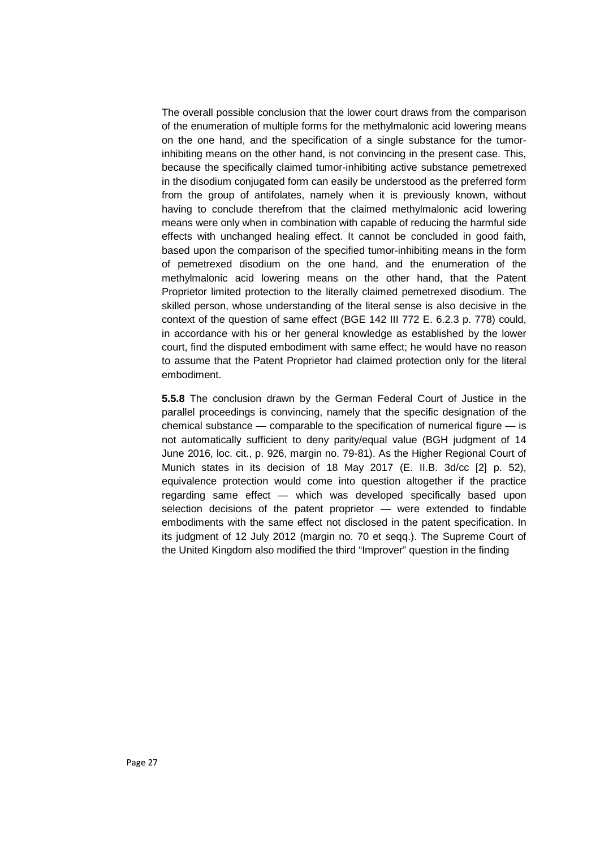The overall possible conclusion that the lower court draws from the comparison of the enumeration of multiple forms for the methylmalonic acid lowering means on the one hand, and the specification of a single substance for the tumorinhibiting means on the other hand, is not convincing in the present case. This, because the specifically claimed tumor-inhibiting active substance pemetrexed in the disodium conjugated form can easily be understood as the preferred form from the group of antifolates, namely when it is previously known, without having to conclude therefrom that the claimed methylmalonic acid lowering means were only when in combination with capable of reducing the harmful side effects with unchanged healing effect. It cannot be concluded in good faith, based upon the comparison of the specified tumor-inhibiting means in the form of pemetrexed disodium on the one hand, and the enumeration of the methylmalonic acid lowering means on the other hand, that the Patent Proprietor limited protection to the literally claimed pemetrexed disodium. The skilled person, whose understanding of the literal sense is also decisive in the context of the question of same effect (BGE 142 III 772 E. 6.2.3 p. 778) could, in accordance with his or her general knowledge as established by the lower court, find the disputed embodiment with same effect; he would have no reason to assume that the Patent Proprietor had claimed protection only for the literal embodiment.

**5.5.8** The conclusion drawn by the German Federal Court of Justice in the parallel proceedings is convincing, namely that the specific designation of the chemical substance — comparable to the specification of numerical figure — is not automatically sufficient to deny parity/equal value (BGH judgment of 14 June 2016, loc. cit., p. 926, margin no. 79-81). As the Higher Regional Court of Munich states in its decision of 18 May 2017 (E. II.B. 3d/cc [2] p. 52), equivalence protection would come into question altogether if the practice regarding same effect — which was developed specifically based upon selection decisions of the patent proprietor — were extended to findable embodiments with the same effect not disclosed in the patent specification. In its judgment of 12 July 2012 (margin no. 70 et seqq.). The Supreme Court of the United Kingdom also modified the third "Improver" question in the finding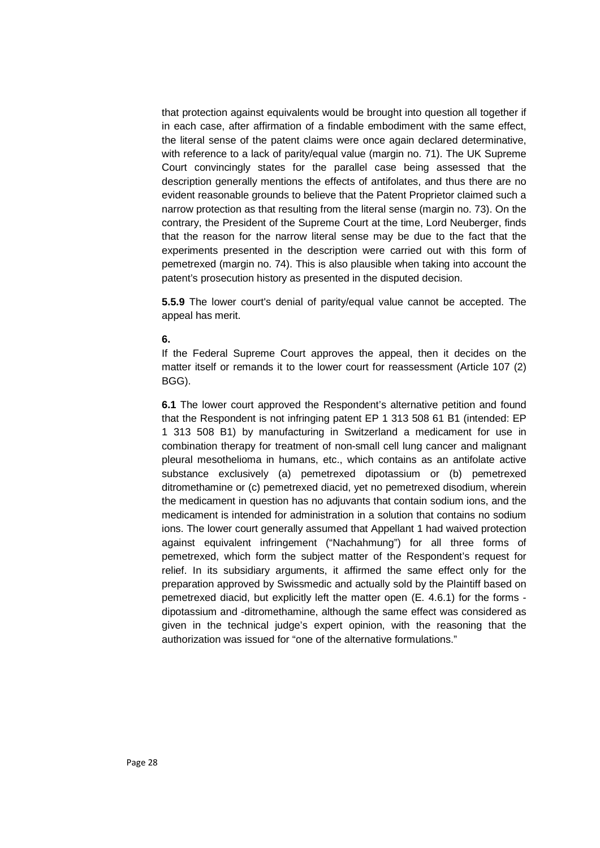that protection against equivalents would be brought into question all together if in each case, after affirmation of a findable embodiment with the same effect, the literal sense of the patent claims were once again declared determinative, with reference to a lack of parity/equal value (margin no. 71). The UK Supreme Court convincingly states for the parallel case being assessed that the description generally mentions the effects of antifolates, and thus there are no evident reasonable grounds to believe that the Patent Proprietor claimed such a narrow protection as that resulting from the literal sense (margin no. 73). On the contrary, the President of the Supreme Court at the time, Lord Neuberger, finds that the reason for the narrow literal sense may be due to the fact that the experiments presented in the description were carried out with this form of pemetrexed (margin no. 74). This is also plausible when taking into account the patent's prosecution history as presented in the disputed decision.

**5.5.9** The lower court's denial of parity/equal value cannot be accepted. The appeal has merit.

#### **6.**

If the Federal Supreme Court approves the appeal, then it decides on the matter itself or remands it to the lower court for reassessment (Article 107 (2) BGG).

**6.1** The lower court approved the Respondent's alternative petition and found that the Respondent is not infringing patent EP 1 313 508 61 B1 (intended: EP 1 313 508 B1) by manufacturing in Switzerland a medicament for use in combination therapy for treatment of non-small cell lung cancer and malignant pleural mesothelioma in humans, etc., which contains as an antifolate active substance exclusively (a) pemetrexed dipotassium or (b) pemetrexed ditromethamine or (c) pemetrexed diacid, yet no pemetrexed disodium, wherein the medicament in question has no adjuvants that contain sodium ions, and the medicament is intended for administration in a solution that contains no sodium ions. The lower court generally assumed that Appellant 1 had waived protection against equivalent infringement ("Nachahmung") for all three forms of pemetrexed, which form the subject matter of the Respondent's request for relief. In its subsidiary arguments, it affirmed the same effect only for the preparation approved by Swissmedic and actually sold by the Plaintiff based on pemetrexed diacid, but explicitly left the matter open (E. 4.6.1) for the forms dipotassium and -ditromethamine, although the same effect was considered as given in the technical judge's expert opinion, with the reasoning that the authorization was issued for "one of the alternative formulations."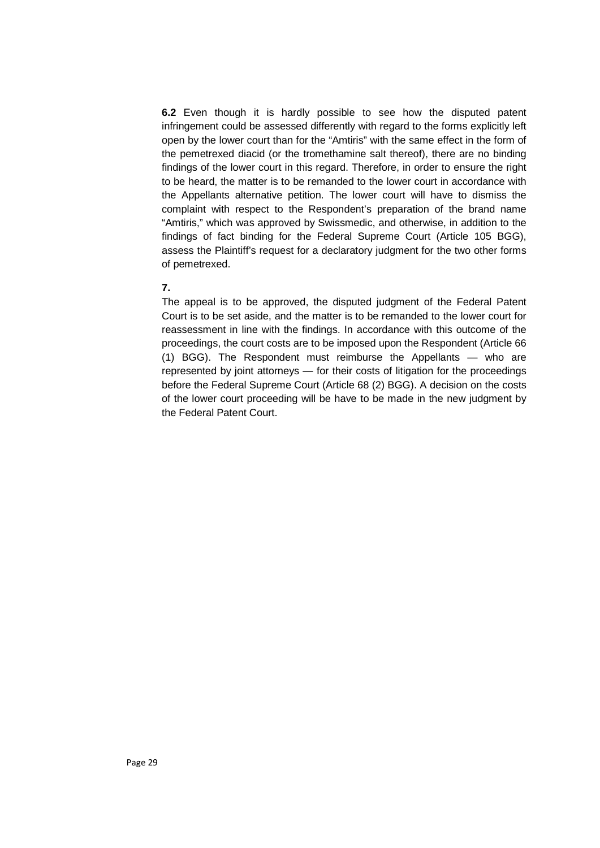**6.2** Even though it is hardly possible to see how the disputed patent infringement could be assessed differently with regard to the forms explicitly left open by the lower court than for the "Amtiris" with the same effect in the form of the pemetrexed diacid (or the tromethamine salt thereof), there are no binding findings of the lower court in this regard. Therefore, in order to ensure the right to be heard, the matter is to be remanded to the lower court in accordance with the Appellants alternative petition. The lower court will have to dismiss the complaint with respect to the Respondent's preparation of the brand name "Amtiris," which was approved by Swissmedic, and otherwise, in addition to the findings of fact binding for the Federal Supreme Court (Article 105 BGG), assess the Plaintiff's request for a declaratory judgment for the two other forms of pemetrexed.

### **7.**

The appeal is to be approved, the disputed judgment of the Federal Patent Court is to be set aside, and the matter is to be remanded to the lower court for reassessment in line with the findings. In accordance with this outcome of the proceedings, the court costs are to be imposed upon the Respondent (Article 66 (1) BGG). The Respondent must reimburse the Appellants — who are represented by joint attorneys — for their costs of litigation for the proceedings before the Federal Supreme Court (Article 68 (2) BGG). A decision on the costs of the lower court proceeding will be have to be made in the new judgment by the Federal Patent Court.